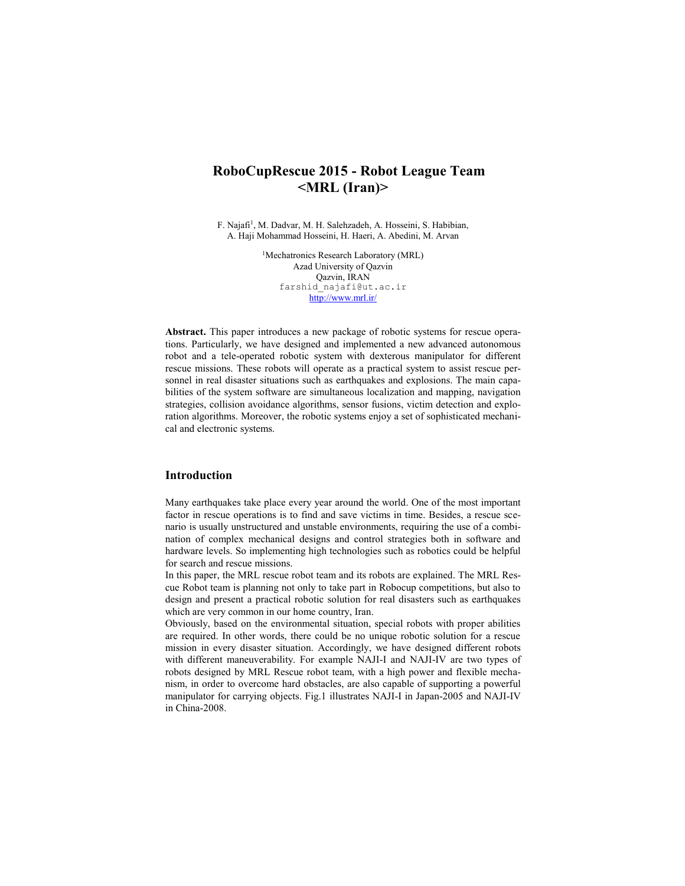# **RoboCupRescue 2015 - Robot League Team <MRL (Iran)>**

F. Najafi1, M. Dadvar, M. H. Salehzadeh, A. Hosseini, S. Habibian, A. Haji Mohammad Hosseini, H. Haeri, A. Abedini, M. Arvan

> <sup>1</sup>Mechatronics Research Laboratory (MRL) Azad University of Qazvin Qazvin, IRAN farshid\_najafi@ut.ac.ir http://www.mrl.ir/

**Abstract.** This paper introduces a new package of robotic systems for rescue operations. Particularly, we have designed and implemented a new advanced autonomous robot and a tele-operated robotic system with dexterous manipulator for different rescue missions. These robots will operate as a practical system to assist rescue personnel in real disaster situations such as earthquakes and explosions. The main capabilities of the system software are simultaneous localization and mapping, navigation strategies, collision avoidance algorithms, sensor fusions, victim detection and exploration algorithms. Moreover, the robotic systems enjoy a set of sophisticated mechanical and electronic systems.

#### **Introduction**

Many earthquakes take place every year around the world. One of the most important factor in rescue operations is to find and save victims in time. Besides, a rescue scenario is usually unstructured and unstable environments, requiring the use of a combination of complex mechanical designs and control strategies both in software and hardware levels. So implementing high technologies such as robotics could be helpful for search and rescue missions.

In this paper, the MRL rescue robot team and its robots are explained. The MRL Rescue Robot team is planning not only to take part in Robocup competitions, but also to design and present a practical robotic solution for real disasters such as earthquakes which are very common in our home country, Iran.

Obviously, based on the environmental situation, special robots with proper abilities are required. In other words, there could be no unique robotic solution for a rescue mission in every disaster situation. Accordingly, we have designed different robots with different maneuverability. For example NAJI-I and NAJI-IV are two types of robots designed by MRL Rescue robot team, with a high power and flexible mechanism, in order to overcome hard obstacles, are also capable of supporting a powerful manipulator for carrying objects. Fig.1 illustrates NAJI-I in Japan-2005 and NAJI-IV in China-2008.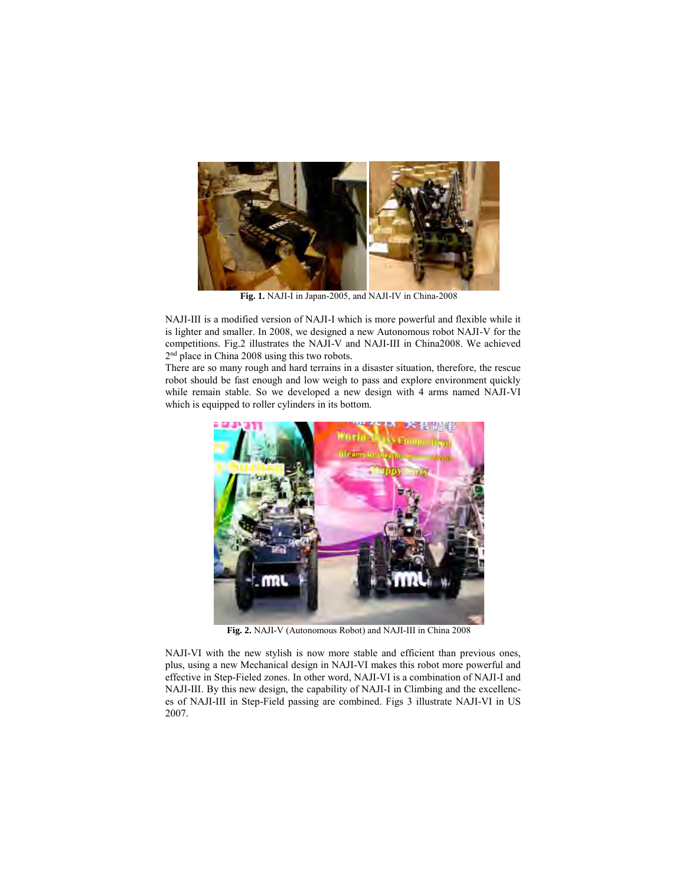

**Fig. 1.** NAJI-I in Japan-2005, and NAJI-IV in China-2008

NAJI-III is a modified version of NAJI-I which is more powerful and flexible while it is lighter and smaller. In 2008, we designed a new Autonomous robot NAJI-V for the competitions. Fig.2 illustrates the NAJI-V and NAJI-III in China2008. We achieved 2nd place in China 2008 using this two robots.

There are so many rough and hard terrains in a disaster situation, therefore, the rescue robot should be fast enough and low weigh to pass and explore environment quickly while remain stable. So we developed a new design with 4 arms named NAJI-VI which is equipped to roller cylinders in its bottom.



**Fig. 2.** NAJI-V (Autonomous Robot) and NAJI-III in China 2008

NAJI-VI with the new stylish is now more stable and efficient than previous ones, plus, using a new Mechanical design in NAJI-VI makes this robot more powerful and effective in Step-Fieled zones. In other word, NAJI-VI is a combination of NAJI-I and NAJI-III. By this new design, the capability of NAJI-I in Climbing and the excellences of NAJI-III in Step-Field passing are combined. Figs 3 illustrate NAJI-VI in US 2007.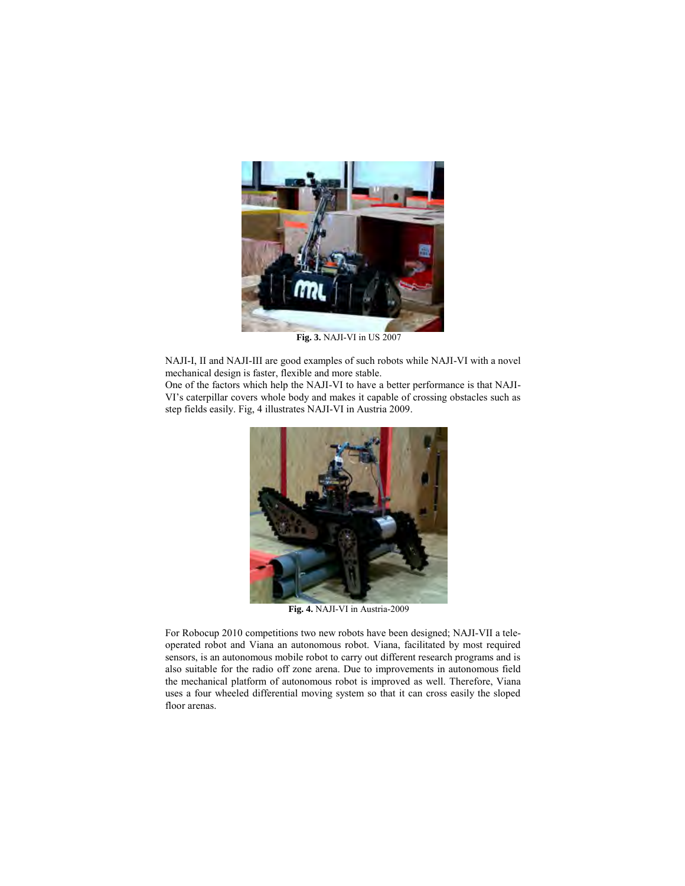

**Fig. 3.** NAJI-VI in US 2007

NAJI-I, II and NAJI-III are good examples of such robots while NAJI-VI with a novel mechanical design is faster, flexible and more stable.

One of the factors which help the NAJI-VI to have a better performance is that NAJI-VI's caterpillar covers whole body and makes it capable of crossing obstacles such as step fields easily. Fig, 4 illustrates NAJI-VI in Austria 2009.



**Fig. 4.** NAJI-VI in Austria-2009

For Robocup 2010 competitions two new robots have been designed; NAJI-VII a teleoperated robot and Viana an autonomous robot. Viana, facilitated by most required sensors, is an autonomous mobile robot to carry out different research programs and is also suitable for the radio off zone arena. Due to improvements in autonomous field the mechanical platform of autonomous robot is improved as well. Therefore, Viana uses a four wheeled differential moving system so that it can cross easily the sloped floor arenas.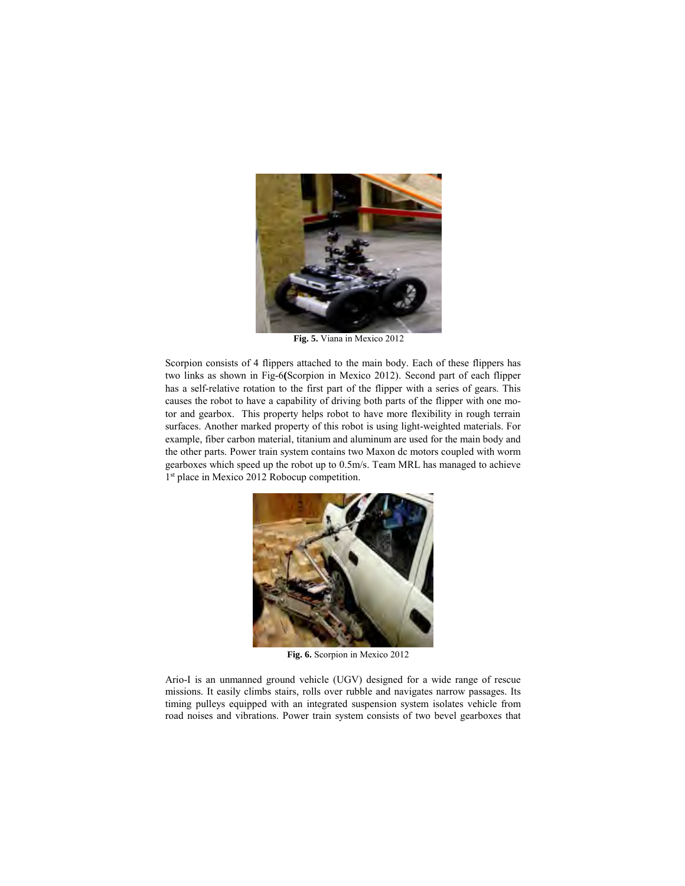

**Fig. 5.** Viana in Mexico 2012

Scorpion consists of 4 flippers attached to the main body. Each of these flippers has two links as shown in Fig-6**(**Scorpion in Mexico 2012). Second part of each flipper has a self-relative rotation to the first part of the flipper with a series of gears. This causes the robot to have a capability of driving both parts of the flipper with one motor and gearbox. This property helps robot to have more flexibility in rough terrain surfaces. Another marked property of this robot is using light-weighted materials. For example, fiber carbon material, titanium and aluminum are used for the main body and the other parts. Power train system contains two Maxon dc motors coupled with worm gearboxes which speed up the robot up to 0.5m/s. Team MRL has managed to achieve 1<sup>st</sup> place in Mexico 2012 Robocup competition.



**Fig. 6.** Scorpion in Mexico 2012

Ario-I is an unmanned ground vehicle (UGV) designed for a wide range of rescue missions. It easily climbs stairs, rolls over rubble and navigates narrow passages. Its timing pulleys equipped with an integrated suspension system isolates vehicle from road noises and vibrations. Power train system consists of two bevel gearboxes that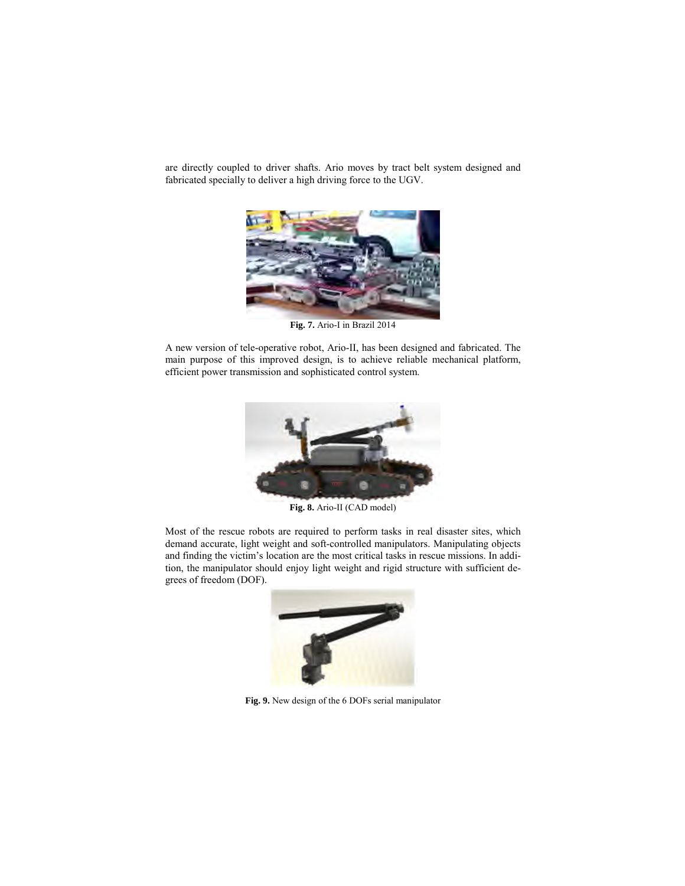are directly coupled to driver shafts. Ario moves by tract belt system designed and fabricated specially to deliver a high driving force to the UGV.



**Fig. 7.** Ario-I in Brazil 2014

A new version of tele-operative robot, Ario-II, has been designed and fabricated. The main purpose of this improved design, is to achieve reliable mechanical platform, efficient power transmission and sophisticated control system.



**Fig. 8.** Ario-II (CAD model)

Most of the rescue robots are required to perform tasks in real disaster sites, which demand accurate, light weight and soft-controlled manipulators. Manipulating objects and finding the victim's location are the most critical tasks in rescue missions. In addition, the manipulator should enjoy light weight and rigid structure with sufficient degrees of freedom (DOF).



**Fig. 9.** New design of the 6 DOFs serial manipulator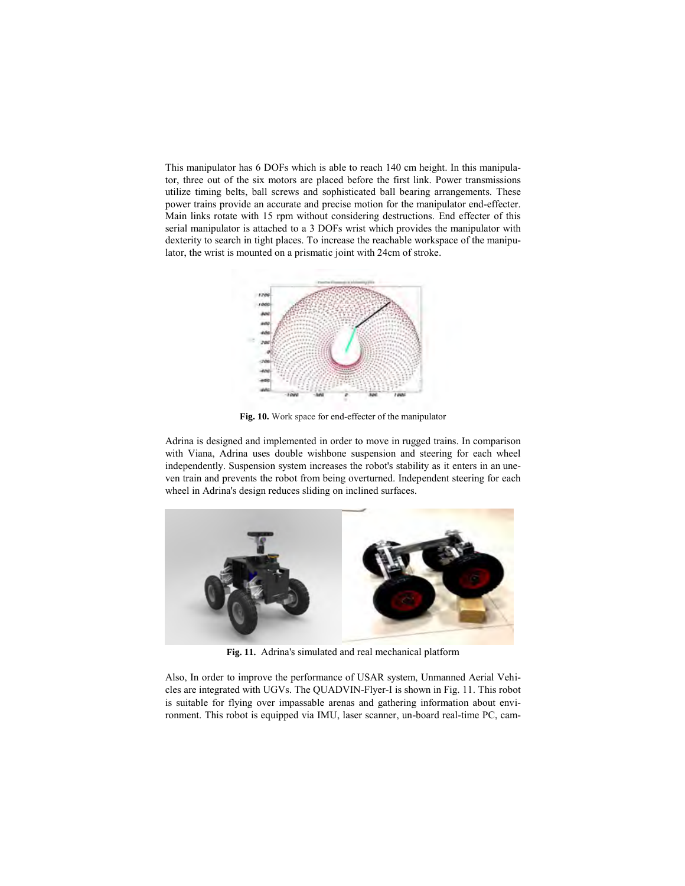This manipulator has 6 DOFs which is able to reach 140 cm height. In this manipulator, three out of the six motors are placed before the first link. Power transmissions utilize timing belts, ball screws and sophisticated ball bearing arrangements. These power trains provide an accurate and precise motion for the manipulator end-effecter. Main links rotate with 15 rpm without considering destructions. End effecter of this serial manipulator is attached to a 3 DOFs wrist which provides the manipulator with dexterity to search in tight places. To increase the reachable workspace of the manipulator, the wrist is mounted on a prismatic joint with 24cm of stroke.



**Fig. 10.** Work space for end-effecter of the manipulator

Adrina is designed and implemented in order to move in rugged trains. In comparison with Viana, Adrina uses double wishbone suspension and steering for each wheel independently. Suspension system increases the robot's stability as it enters in an uneven train and prevents the robot from being overturned. Independent steering for each wheel in Adrina's design reduces sliding on inclined surfaces.



**Fig. 11.** Adrina's simulated and real mechanical platform

Also, In order to improve the performance of USAR system, Unmanned Aerial Vehicles are integrated with UGVs. The QUADVIN-Flyer-I is shown in Fig. 11. This robot is suitable for flying over impassable arenas and gathering information about environment. This robot is equipped via IMU, laser scanner, un-board real-time PC, cam-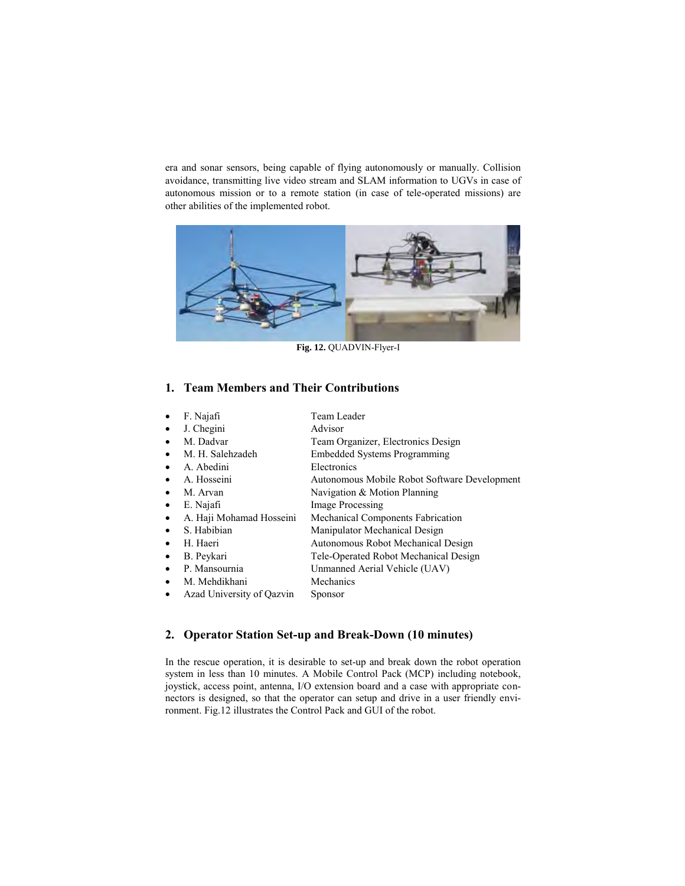era and sonar sensors, being capable of flying autonomously or manually. Collision avoidance, transmitting live video stream and SLAM information to UGVs in case of autonomous mission or to a remote station (in case of tele-operated missions) are other abilities of the implemented robot.



**Fig. 12.** QUADVIN-Flyer-I

#### **1. Team Members and Their Contributions**

| $\bullet$ | F. Najafi                 | Team Leader                                  |
|-----------|---------------------------|----------------------------------------------|
| ٠         | J. Chegini                | Advisor                                      |
| $\bullet$ | M. Dadvar                 | Team Organizer, Electronics Design           |
| $\bullet$ | M. H. Salehzadeh          | <b>Embedded Systems Programming</b>          |
| $\bullet$ | A. Abedini                | Electronics                                  |
| $\bullet$ | A. Hosseini               | Autonomous Mobile Robot Software Development |
| $\bullet$ | M. Arvan                  | Navigation & Motion Planning                 |
| $\bullet$ | E. Najafi                 | <b>Image Processing</b>                      |
| $\bullet$ | A. Haji Mohamad Hosseini  | Mechanical Components Fabrication            |
| $\bullet$ | S. Habibian               | Manipulator Mechanical Design                |
| $\bullet$ | H. Haeri                  | Autonomous Robot Mechanical Design           |
| ٠         | B. Peykari                | Tele-Operated Robot Mechanical Design        |
| $\bullet$ | P. Mansournia             | Unmanned Aerial Vehicle (UAV)                |
| ٠         | M. Mehdikhani             | Mechanics                                    |
| $\bullet$ | Azad University of Oazvin | <b>Sponsor</b>                               |
|           |                           |                                              |

# **2. Operator Station Set-up and Break-Down (10 minutes)**

In the rescue operation, it is desirable to set-up and break down the robot operation system in less than 10 minutes. A Mobile Control Pack (MCP) including notebook, joystick, access point, antenna, I/O extension board and a case with appropriate connectors is designed, so that the operator can setup and drive in a user friendly environment. Fig.12 illustrates the Control Pack and GUI of the robot.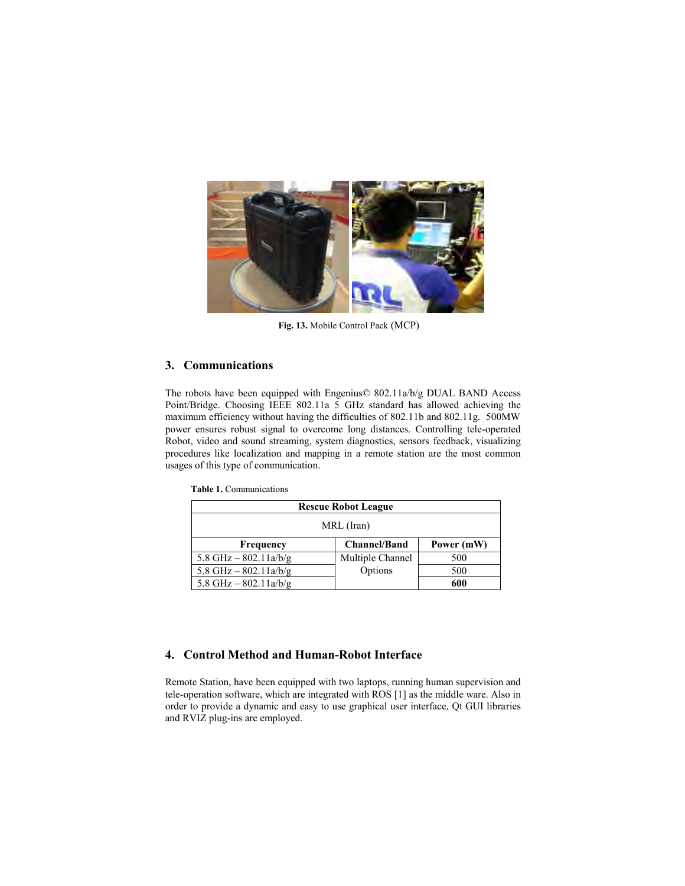

**Fig. 13.** Mobile Control Pack (MCP)

#### **3. Communications**

The robots have been equipped with Engenius© 802.11a/b/g DUAL BAND Access Point/Bridge. Choosing IEEE 802.11a 5 GHz standard has allowed achieving the maximum efficiency without having the difficulties of 802.11b and 802.11g. 500MW power ensures robust signal to overcome long distances. Controlling tele-operated Robot, video and sound streaming, system diagnostics, sensors feedback, visualizing procedures like localization and mapping in a remote station are the most common usages of this type of communication.

 **Table 1.** Communications

| <b>Rescue Robot League</b> |                     |            |  |  |  |  |
|----------------------------|---------------------|------------|--|--|--|--|
| MRL (Iran)                 |                     |            |  |  |  |  |
| Frequency                  | <b>Channel/Band</b> | Power (mW) |  |  |  |  |
| 5.8 GHz $-$ 802.11a/b/g    | Multiple Channel    | 500        |  |  |  |  |
| 5.8 GHz $-$ 802.11a/b/g    | Options             | 500        |  |  |  |  |
| 5.8 GHz $-$ 802.11a/b/g    |                     | 600        |  |  |  |  |

# **4. Control Method and Human-Robot Interface**

Remote Station, have been equipped with two laptops, running human supervision and tele-operation software, which are integrated with ROS [1] as the middle ware. Also in order to provide a dynamic and easy to use graphical user interface, Qt GUI libraries and RVIZ plug-ins are employed.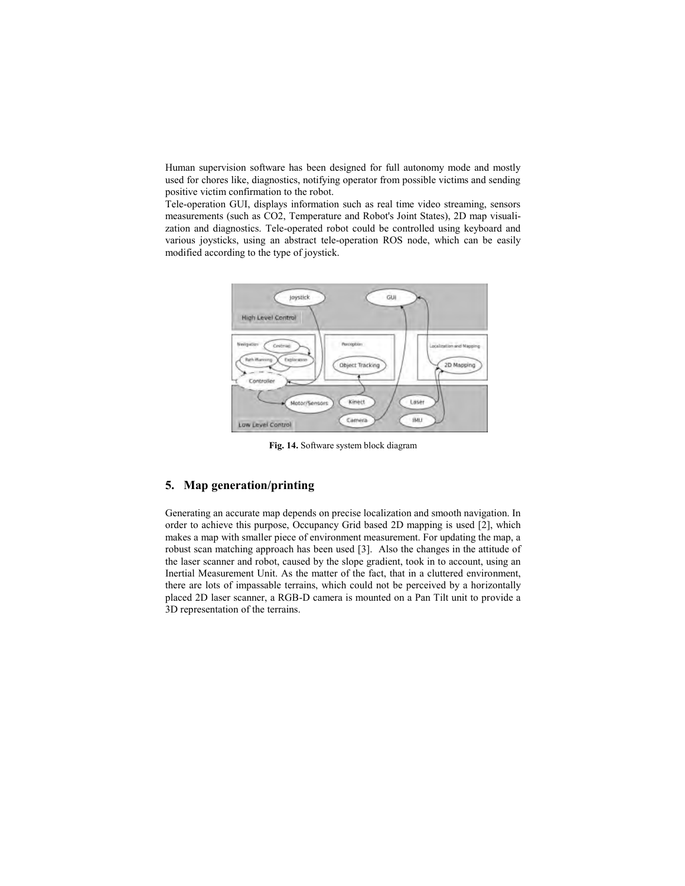Human supervision software has been designed for full autonomy mode and mostly used for chores like, diagnostics, notifying operator from possible victims and sending positive victim confirmation to the robot.

Tele-operation GUI, displays information such as real time video streaming, sensors measurements (such as CO2, Temperature and Robot's Joint States), 2D map visualization and diagnostics. Tele-operated robot could be controlled using keyboard and various joysticks, using an abstract tele-operation ROS node, which can be easily modified according to the type of joystick.



**Fig. 14.** Software system block diagram

### **5. Map generation/printing**

Generating an accurate map depends on precise localization and smooth navigation. In order to achieve this purpose, Occupancy Grid based 2D mapping is used [2], which makes a map with smaller piece of environment measurement. For updating the map, a robust scan matching approach has been used [3]. Also the changes in the attitude of the laser scanner and robot, caused by the slope gradient, took in to account, using an Inertial Measurement Unit. As the matter of the fact, that in a cluttered environment, there are lots of impassable terrains, which could not be perceived by a horizontally placed 2D laser scanner, a RGB-D camera is mounted on a Pan Tilt unit to provide a 3D representation of the terrains.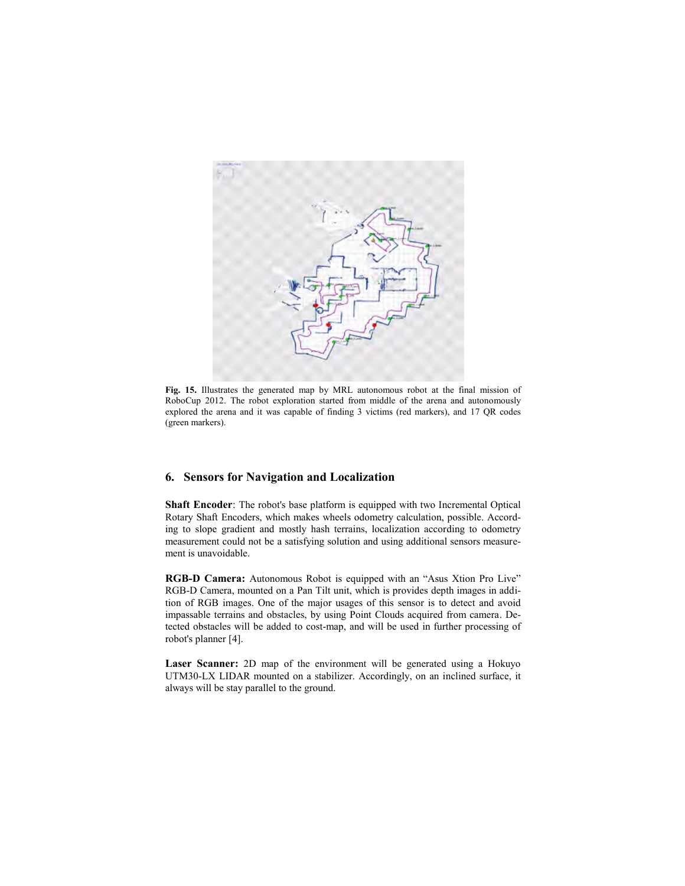

**Fig. 15.** Illustrates the generated map by MRL autonomous robot at the final mission of RoboCup 2012. The robot exploration started from middle of the arena and autonomously explored the arena and it was capable of finding 3 victims (red markers), and 17 QR codes (green markers).

#### **6. Sensors for Navigation and Localization**

**Shaft Encoder**: The robot's base platform is equipped with two Incremental Optical Rotary Shaft Encoders, which makes wheels odometry calculation, possible. According to slope gradient and mostly hash terrains, localization according to odometry measurement could not be a satisfying solution and using additional sensors measurement is unavoidable.

**RGB-D Camera:** Autonomous Robot is equipped with an "Asus Xtion Pro Live" RGB-D Camera, mounted on a Pan Tilt unit, which is provides depth images in addition of RGB images. One of the major usages of this sensor is to detect and avoid impassable terrains and obstacles, by using Point Clouds acquired from camera. Detected obstacles will be added to cost-map, and will be used in further processing of robot's planner [4].

Laser Scanner: 2D map of the environment will be generated using a Hokuyo UTM30-LX LIDAR mounted on a stabilizer. Accordingly, on an inclined surface, it always will be stay parallel to the ground.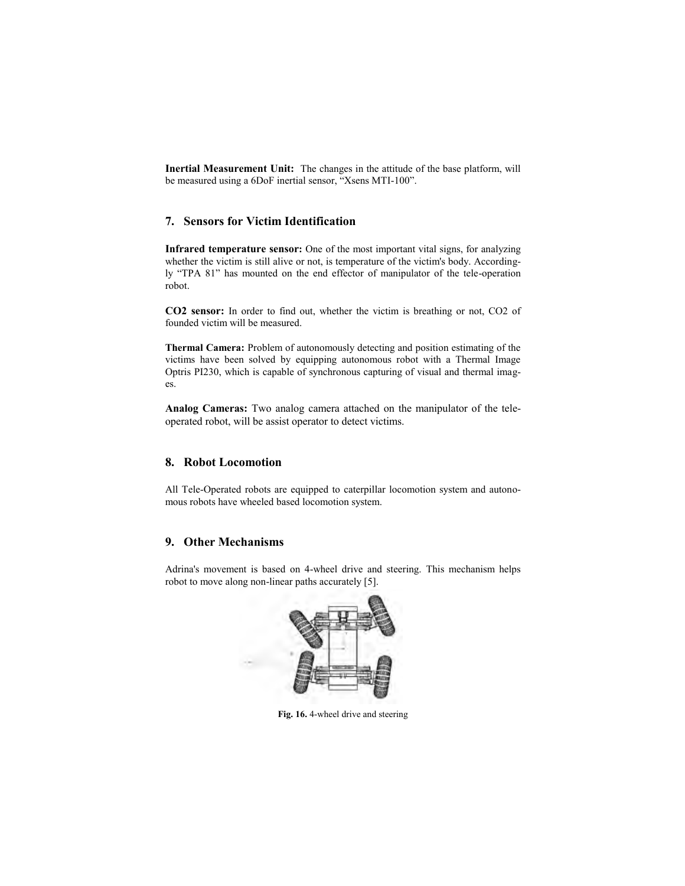**Inertial Measurement Unit:** The changes in the attitude of the base platform, will be measured using a 6DoF inertial sensor, "Xsens MTI-100".

### **7. Sensors for Victim Identification**

**Infrared temperature sensor:** One of the most important vital signs, for analyzing whether the victim is still alive or not, is temperature of the victim's body. Accordingly "TPA 81" has mounted on the end effector of manipulator of the tele-operation robot.

**CO2 sensor:** In order to find out, whether the victim is breathing or not, CO2 of founded victim will be measured.

**Thermal Camera:** Problem of autonomously detecting and position estimating of the victims have been solved by equipping autonomous robot with a Thermal Image Optris PI230, which is capable of synchronous capturing of visual and thermal images.

**Analog Cameras:** Two analog camera attached on the manipulator of the teleoperated robot, will be assist operator to detect victims.

#### **8. Robot Locomotion**

All Tele-Operated robots are equipped to caterpillar locomotion system and autonomous robots have wheeled based locomotion system.

#### **9. Other Mechanisms**

Adrina's movement is based on 4-wheel drive and steering. This mechanism helps robot to move along non-linear paths accurately [5].



**Fig. 16.** 4-wheel drive and steering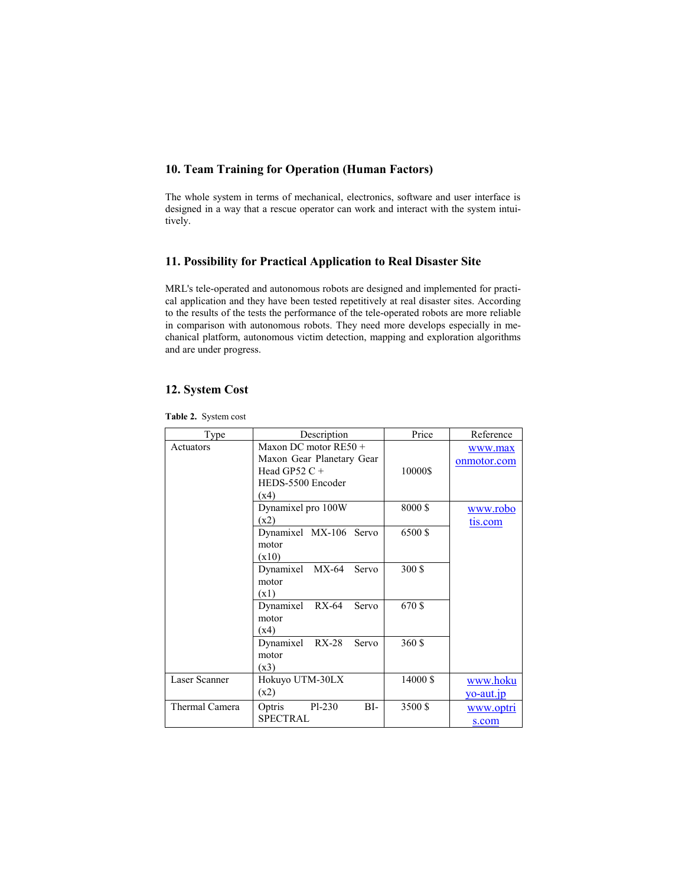# **10. Team Training for Operation (Human Factors)**

The whole system in terms of mechanical, electronics, software and user interface is designed in a way that a rescue operator can work and interact with the system intuitively.

#### **11. Possibility for Practical Application to Real Disaster Site**

MRL's tele-operated and autonomous robots are designed and implemented for practical application and they have been tested repetitively at real disaster sites. According to the results of the tests the performance of the tele-operated robots are more reliable in comparison with autonomous robots. They need more develops especially in mechanical platform, autonomous victim detection, mapping and exploration algorithms and are under progress.

#### **12. System Cost**

| <b>Table 2.</b> System cost |  |
|-----------------------------|--|
|                             |  |

| Type           | Description                                                                                          | Price    | Reference                |
|----------------|------------------------------------------------------------------------------------------------------|----------|--------------------------|
| Actuators      | Maxon DC motor $RE50 +$<br>Maxon Gear Planetary Gear<br>Head GP52 $C +$<br>HEDS-5500 Encoder<br>(x4) | 10000\$  | www.max<br>onmotor.com   |
|                | Dynamixel pro 100W<br>(x2)                                                                           | 8000\$   | www.robo<br>tis.com      |
|                | Dynamixel MX-106 Servo<br>motor<br>(x10)                                                             | 6500 \$  |                          |
|                | Dynamixel MX-64<br>Servo<br>motor<br>(x1)                                                            | 300\$    |                          |
|                | Dynamixel RX-64<br>Servo<br>motor<br>(x4)                                                            | 670 \$   |                          |
|                | Dynamixel RX-28<br>Servo<br>motor<br>(x3)                                                            | 360 \$   |                          |
| Laser Scanner  | Hokuyo UTM-30LX<br>(x2)                                                                              | 14000 \$ | www.hoku<br>$yo$ -aut.jp |
| Thermal Camera | Optris<br>$Pl-230$<br>$BI-$<br><b>SPECTRAL</b>                                                       | 3500 \$  | www.optri<br>s.com       |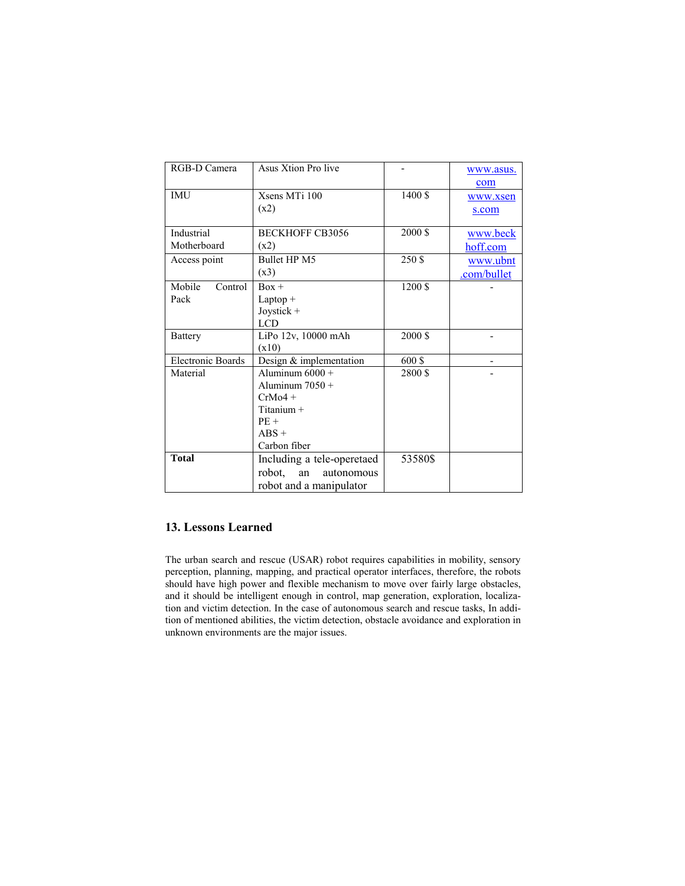| RGB-D Camera             | Asus Xtion Pro live        |         | www.asus.   |
|--------------------------|----------------------------|---------|-------------|
|                          |                            |         | com         |
| <b>IMU</b>               | Xsens MTi 100              | 1400 \$ | www.xsen    |
|                          | (x2)                       |         | s.com       |
|                          |                            |         |             |
| Industrial               | <b>BECKHOFF CB3056</b>     | 2000 \$ | www.beck    |
| Motherboard              | (x2)                       |         | hoff.com    |
| Access point             | <b>Bullet HP M5</b>        | 250 \$  | www.ubnt    |
|                          | (x3)                       |         | .com/bullet |
| Mobile<br>Control        | $Box +$                    | 1200 \$ |             |
| Pack                     | $L$ aptop +                |         |             |
|                          | $Joystick +$               |         |             |
|                          | <b>LCD</b>                 |         |             |
| <b>Battery</b>           | LiPo 12v, 10000 mAh        | 2000 \$ |             |
|                          | (x10)                      |         |             |
| <b>Electronic Boards</b> | Design & implementation    | 600\$   |             |
| Material                 | Aluminum $6000 +$          | 2800\$  |             |
|                          | Aluminum $7050 +$          |         |             |
|                          | $CrMo4 +$                  |         |             |
|                          | Titanium $+$               |         |             |
|                          | $PE+$                      |         |             |
|                          | $ABS +$                    |         |             |
|                          | Carbon fiber               |         |             |
| <b>Total</b>             | Including a tele-operetaed | 53580\$ |             |
|                          | robot, an<br>autonomous    |         |             |
|                          | robot and a manipulator    |         |             |

### **13. Lessons Learned**

The urban search and rescue (USAR) robot requires capabilities in mobility, sensory perception, planning, mapping, and practical operator interfaces, therefore, the robots should have high power and flexible mechanism to move over fairly large obstacles, and it should be intelligent enough in control, map generation, exploration, localization and victim detection. In the case of autonomous search and rescue tasks, In addition of mentioned abilities, the victim detection, obstacle avoidance and exploration in unknown environments are the major issues.